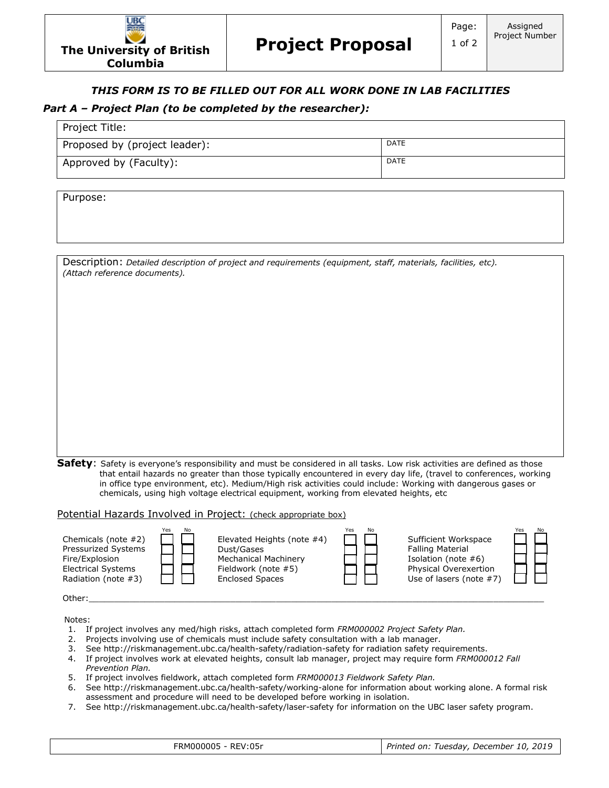## *THIS FORM IS TO BE FILLED OUT FOR ALL WORK DONE IN LAB FACILITIES*

## *Part A – Project Plan (to be completed by the researcher):*

| Project Title:                |             |  |  |  |
|-------------------------------|-------------|--|--|--|
| Proposed by (project leader): | <b>DATE</b> |  |  |  |
| Approved by (Faculty):        | <b>DATE</b> |  |  |  |

Purpose:

Project Title:

Description: *Detailed description of project and requirements (equipment, staff, materials, facilities, etc). (Attach reference documents).*

**Safety**: Safety is everyone's responsibility and must be considered in all tasks. Low risk activities are defined as those that entail hazards no greater than those typically encountered in every day life, (travel to conferences, working in office type environment, etc). Medium/High risk activities could include: Working with dangerous gases or chemicals, using high voltage electrical equipment, working from elevated heights, etc

Potential Hazards Involved in Project: (check appropriate box)



Notes:

- 1. If project involves any med/high risks, attach completed form *FRM000002 Project Safety Plan.*
- 2. Projects involving use of chemicals must include safety consultation with a lab manager.
- 3. See http://riskmanagement.ubc.ca/health-safety/radiation-safety for radiation safety requirements.
- 4. If project involves work at elevated heights, consult lab manager, project may require form *FRM000012 Fall Prevention Plan.*
- 5. If project involves fieldwork, attach completed form *FRM000013 Fieldwork Safety Plan.*
- 6. See http://riskmanagement.ubc.ca/health-safety/working-alone for information about working alone. A formal risk assessment and procedure will need to be developed before working in isolation.
- 7. See http://riskmanagement.ubc.ca/health-safety/laser-safety for information on the UBC laser safety program.

| FRM000005 - REV:05r |  |
|---------------------|--|
|---------------------|--|